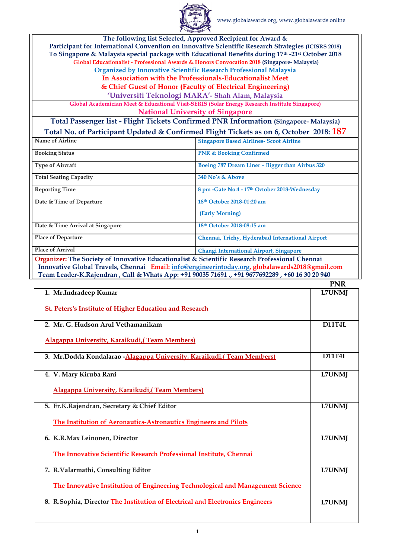

|                                                                                                | The following list Selected, Approved Recipient for Award &                                         |  |
|------------------------------------------------------------------------------------------------|-----------------------------------------------------------------------------------------------------|--|
|                                                                                                | Participant for International Convention on Innovative Scientific Research Strategies (ICISRS 2018) |  |
|                                                                                                | To Singapore & Malaysia special package with Educational Benefits during 17th -21st October 2018    |  |
|                                                                                                | Global Educationalist - Professional Awards & Honors Convocation 2018 (Singapore- Malaysia)         |  |
|                                                                                                | <b>Organized by Innovative Scientific Research Professional Malaysia</b>                            |  |
|                                                                                                | In Association with the Professionals-Educationalist Meet                                           |  |
|                                                                                                | & Chief Guest of Honor (Faculty of Electrical Engineering)                                          |  |
|                                                                                                | 'Universiti Teknologi MARA'- Shah Alam, Malaysia                                                    |  |
|                                                                                                | Global Academician Meet & Educational Visit-SERIS (Solar Energy Research Institute Singapore)       |  |
|                                                                                                | <b>National University of Singapore</b>                                                             |  |
| <b>Total Passenger list - Flight Tickets Confirmed PNR Information (Singapore- Malaysia)</b>   |                                                                                                     |  |
|                                                                                                | Total No. of Participant Updated & Confirmed Flight Tickets as on 6, October 2018: 187              |  |
| <b>Name of Airline</b>                                                                         | <b>Singapore Based Airlines- Scoot Airline</b>                                                      |  |
| <b>Booking Status</b>                                                                          | <b>PNR &amp; Booking Confirmed</b>                                                                  |  |
| <b>Type of Aircraft</b>                                                                        | Boeing 787 Dream Liner - Bigger than Airbus 320                                                     |  |
| <b>Total Seating Capacity</b>                                                                  | 340 No's & Above                                                                                    |  |
| <b>Reporting Time</b>                                                                          | 8 pm -Gate No:4 - 17th October 2018-Wednesday                                                       |  |
| Date & Time of Departure                                                                       | 18th October 2018-01:20 am                                                                          |  |
|                                                                                                | (Early Morning)                                                                                     |  |
| Date & Time Arrival at Singapore                                                               | 18th October 2018-08:15 am                                                                          |  |
| <b>Place of Departure</b>                                                                      | Chennai, Trichy, Hyderabad International Airport                                                    |  |
| <b>Place of Arrival</b>                                                                        | <b>Changi International Airport, Singapore</b>                                                      |  |
| Organizer: The Society of Innovative Educationalist & Scientific Research Professional Chennai |                                                                                                     |  |
| Innovative Global Travels, Chennai Email: info@engineerintoday.org, globalawards2018@gmail.com |                                                                                                     |  |
|                                                                                                | Team Leader-K.Rajendran, Call & Whats App: +91 90035 71691., +91 9677692289, +60 16 30 20 940       |  |

|                                                                                       | <b>PNR</b>    |
|---------------------------------------------------------------------------------------|---------------|
| 1. Mr.Indradeep Kumar                                                                 | <b>L7UNMJ</b> |
| <b>St. Peters's Institute of Higher Education and Research</b>                        |               |
| 2. Mr. G. Hudson Arul Vethamanikam                                                    | <b>D11T4L</b> |
| Alagappa University, Karaikudi, (Team Members)                                        |               |
| 3. Mr.Dodda Kondalarao - Alagappa University, Karaikudi, (Team Members)               | <b>D11T4L</b> |
| 4. V. Mary Kiruba Rani                                                                | <b>L7UNMJ</b> |
| Alagappa University, Karaikudi, (Team Members)                                        |               |
| 5. Er.K.Rajendran, Secretary & Chief Editor                                           | <b>L7UNMJ</b> |
| The Institution of Aeronautics-Astronautics Engineers and Pilots                      |               |
| 6. K.R.Max Leinonen, Director                                                         | <b>L7UNMJ</b> |
| The Innovative Scientific Research Professional Institute, Chennai                    |               |
| 7. R.Valarmathi, Consulting Editor                                                    | <b>L7UNMJ</b> |
| <b>The Innovative Institution of Engineering Technological and Management Science</b> |               |
| 8. R.Sophia, Director The Institution of Electrical and Electronics Engineers         | <b>L7UNMJ</b> |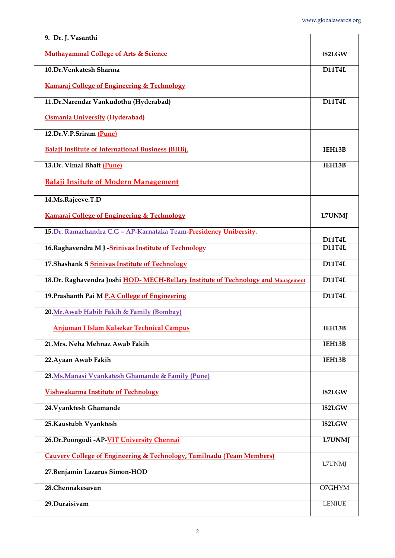| 9. Dr. J. Vasanthi                                                                |                                |
|-----------------------------------------------------------------------------------|--------------------------------|
| <b>Muthayammal College of Arts &amp; Science</b>                                  | I82LGW                         |
| 10.Dr.Venkatesh Sharma                                                            | <b>D11T4L</b>                  |
| <b>Kamaraj College of Engineering &amp; Technology</b>                            |                                |
| 11. Dr. Narendar Vankudothu (Hyderabad)                                           | <b>D11T4L</b>                  |
| <b>Osmania University (Hyderabad)</b>                                             |                                |
| 12.Dr.V.P.Sriram (Pune)                                                           |                                |
| <b>Balaji Institute of International Business (BIIB),</b>                         | IEH13B                         |
| 13. Dr. Vimal Bhatt (Pune)                                                        | IEH13B                         |
| <b>Balaji Insitute of Modern Management</b>                                       |                                |
| 14.Ms.Rajeeve.T.D                                                                 |                                |
| <b>Kamaraj College of Engineering &amp; Technology</b>                            | <b>L7UNMJ</b>                  |
| 15. Dr. Ramachandra C.G - AP-Karnataka Team-Presidency Unibersity.                |                                |
| 16. Raghavendra M J -Srinivas Institute of Technology                             | <b>D11T4L</b><br><b>D11T4L</b> |
|                                                                                   |                                |
| 17. Shashank S Srinivas Institute of Technology                                   | <b>D11T4L</b>                  |
| 18. Dr. Raghavendra Joshi HOD-MECH-Bellary Institute of Technology and Management | <b>D11T4L</b>                  |
| 19. Prashanth Pai M P.A College of Engineering                                    | <b>D11T4L</b>                  |
| 20. Mr. Awab Habib Fakih & Family (Bombay)                                        |                                |
| <b>Anjuman I Islam Kalsekar Technical Campus</b>                                  | IEH13B                         |
| 21. Mrs. Neha Mehnaz Awab Fakih                                                   | IEH13B                         |
| 22. Ayaan Awab Fakih                                                              | IEH13B                         |
| 23. Ms. Manasi Vyankatesh Ghamande & Family (Pune)                                |                                |
| <b>Vishwakarma Institute of Technology</b>                                        | I82LGW                         |
| 24. Vyanktesh Ghamande                                                            | I82LGW                         |

| 25. Kaustubh Vyanktesh                                                           | I82LGW        |
|----------------------------------------------------------------------------------|---------------|
| 26. Dr. Poongodi - AP-VIT University Chennai                                     | <b>L7UNMJ</b> |
| <b>Cauvery College of Engineering &amp; Technology, Tamilnadu (Team Members)</b> |               |
| 27. Benjamin Lazarus Simon-HOD                                                   | L7UNMJ        |
| 28. Chennakesavan                                                                | O7GHYM        |
| 29. Duraisivam                                                                   | <b>LENIUE</b> |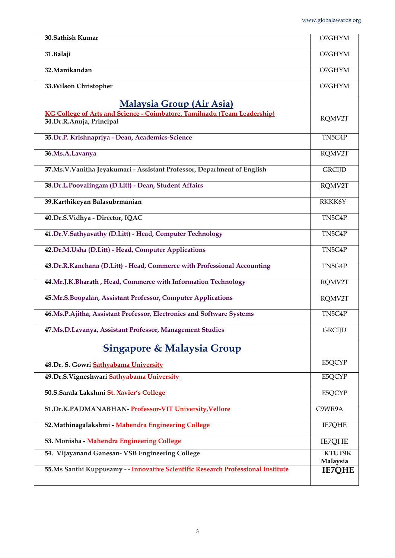| 30. Sathish Kumar                                                                                            | O7GHYM             |
|--------------------------------------------------------------------------------------------------------------|--------------------|
| 31. Balaji                                                                                                   | O7GHYM             |
| 32. Manikandan                                                                                               | O7GHYM             |
| 33. Wilson Christopher                                                                                       | O7GHYM             |
| Malaysia Group (Air Asia)<br><b>KG College of Arts and Science - Coimbatore, Tamilnadu (Team Leadership)</b> |                    |
| 34.Dr.R.Anuja, Principal                                                                                     | RQMV2T             |
| 35. Dr.P. Krishnapriya - Dean, Academics-Science                                                             | TN5G4P             |
| 36.Ms.A.Lavanya                                                                                              | RQMV2T             |
| 37.Ms.V.Vanitha Jeyakumari - Assistant Professor, Department of English                                      | <b>GRCIJD</b>      |
| 38.Dr.L.Poovalingam (D.Litt) - Dean, Student Affairs                                                         | RQMV2T             |
| 39. Karthikeyan Balasubrmanian                                                                               | RKKK6Y             |
| 40.Dr.S.Vidhya - Director, IQAC                                                                              | TN5G4P             |
| 41.Dr.V.Sathyavathy (D.Litt) - Head, Computer Technology                                                     | TN5G4P             |
| 42.Dr.M.Usha (D.Litt) - Head, Computer Applications                                                          | TN5G4P             |
| 43.Dr.R.Kanchana (D.Litt) - Head, Commerce with Professional Accounting                                      | TN5G4P             |
| 44.Mr.J.K.Bharath, Head, Commerce with Information Technology                                                | RQMV2T             |
| 45.Mr.S.Boopalan, Assistant Professor, Computer Applications                                                 | RQMV2T             |
| 46.Ms.P.Ajitha, Assistant Professor, Electronics and Software Systems                                        | TN5G4P             |
| 47.Ms.D.Lavanya, Assistant Professor, Management Studies                                                     | <b>GRCIJD</b>      |
| <b>Singapore &amp; Malaysia Group</b>                                                                        |                    |
| 48.Dr. S. Gowri Sathyabama University                                                                        | E5QCYP             |
| 49.Dr.S.Vigneshwari Sathyabama University                                                                    | E5QCYP             |
| 50.S.Sarala Lakshmi St. Xavier's College                                                                     | E5QCYP             |
| 51.Dr.K.PADMANABHAN- Professor-VIT University, Vellore                                                       | C9WR9A             |
| 52. Mathinagalakshmi - Mahendra Engineering College                                                          | <b>IE7QHE</b>      |
| 53. Monisha - Mahendra Engineering College                                                                   | <b>IE7QHE</b>      |
| 54. Vijayanand Ganesan- VSB Engineering College                                                              | KTUT9K<br>Malaysia |
| 55.Ms Santhi Kuppusamy - - Innovative Scientific Research Professional Institute                             | <b>IE7QHE</b>      |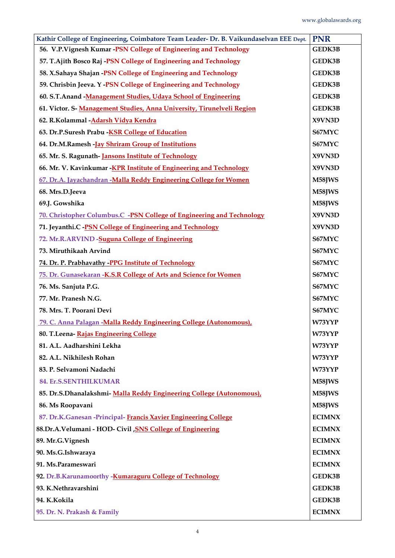| Kathir College of Engineering, Coimbatore Team Leader- Dr. B. Vaikundaselvan EEE Dept. | <b>PNR</b>    |
|----------------------------------------------------------------------------------------|---------------|
| 56. V.P. Vignesh Kumar -PSN College of Engineering and Technology                      | <b>GEDK3B</b> |
| 57. T.Ajith Bosco Raj -PSN College of Engineering and Technology                       | <b>GEDK3B</b> |
| 58. X.Sahaya Shajan -PSN College of Engineering and Technology                         | <b>GEDK3B</b> |
| 59. Chrisbin Jeeva. Y -PSN College of Engineering and Technology                       | <b>GEDK3B</b> |
| 60. S.T. Anand - Management Studies, Udaya School of Engineering                       | <b>GEDK3B</b> |
| 61. Victor. S- Management Studies, Anna University, Tirunelveli Region                 | GEDK3B        |
| 62. R.Kolammal - Adarsh Vidya Kendra                                                   | X9VN3D        |
| 63. Dr.P.Suresh Prabu - KSR College of Education                                       | S67MYC        |
| 64. Dr.M.Ramesh -Jay Shriram Group of Institutions                                     | S67MYC        |
| 65. Mr. S. Ragunath-Jansons Institute of Technology                                    | X9VN3D        |
| 66. Mr. V. Kavinkumar - KPR Institute of Engineering and Technology                    | X9VN3D        |
| 67. Dr.A. Jayachandran -Malla Reddy Engineering College for Women                      | M58JWS        |
| 68. Mrs.D.Jeeva                                                                        | M58JWS        |
| 69.J. Gowshika                                                                         | M58JWS        |
| 70. Christopher Columbus.C -PSN College of Engineering and Technology                  | X9VN3D        |
| 71. Jeyanthi.C - PSN College of Engineering and Technology                             | X9VN3D        |
| 72. Mr.R.ARVIND -Suguna College of Engineering                                         | S67MYC        |
| 73. Miruthikaah Arvind                                                                 | S67MYC        |
| 74. Dr. P. Prabhavathy -PPG Institute of Technology                                    | S67MYC        |
| <b>75. Dr. Gunasekaran -K.S.R College of Arts and Science for Women</b>                | S67MYC        |
| 76. Ms. Sanjuta P.G.                                                                   | S67MYC        |
| 77. Mr. Pranesh N.G.                                                                   | S67MYC        |
| 78. Mrs. T. Poorani Devi                                                               | S67MYC        |
| 79. C. Anna Palagan -Malla Reddy Engineering College (Autonomous),                     | W73YYP        |
| 80. T.Leena-Rajas Engineering College                                                  | W73YYP        |
| 81. A.L. Aadharshini Lekha                                                             | W73YYP        |
| 82. A.L. Nikhilesh Rohan                                                               | W73YYP        |
| 83. P. Selvamoni Nadachi                                                               | W73YYP        |
| 84. Er.S.SENTHILKUMAR                                                                  | M58JWS        |
| 85. Dr.S.Dhanalakshmi- Malla Reddy Engineering College (Autonomous),                   | M58JWS        |
| 86. Ms Roopavani                                                                       | M58JWS        |
| 87. Dr.K.Ganesan - Principal- Francis Xavier Engineering College                       | <b>ECIMNX</b> |

| 88.Dr.A.Velumani - HOD- Civil , SNS College of Engineering | <b>ECIMNX</b> |
|------------------------------------------------------------|---------------|
| 89. Mr.G. Vignesh                                          | <b>ECIMNX</b> |
| 90. Ms.G.Ishwaraya                                         | <b>ECIMNX</b> |
| 91. Ms. Parameswari                                        | <b>ECIMNX</b> |
| 92. Dr.B.Karunamoorthy -Kumaraguru College of Technology   | <b>GEDK3B</b> |
| 93. K.Nethravarshini                                       | <b>GEDK3B</b> |
| 94. K.Kokila                                               | <b>GEDK3B</b> |
| 95. Dr. N. Prakash & Family                                | <b>ECIMNX</b> |
|                                                            |               |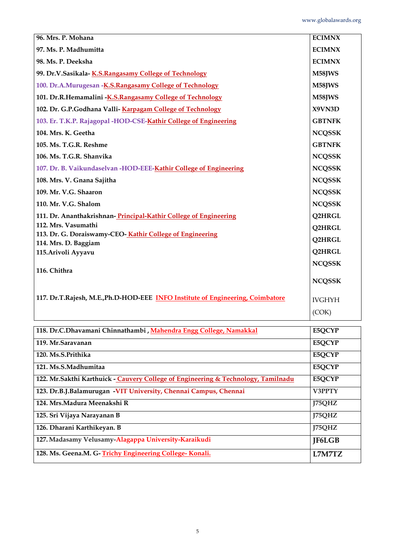| 96. Mrs. P. Mohana                                                               | <b>ECIMNX</b> |
|----------------------------------------------------------------------------------|---------------|
| 97. Ms. P. Madhumitta                                                            | <b>ECIMNX</b> |
| 98. Ms. P. Deeksha                                                               | <b>ECIMNX</b> |
| 99. Dr.V.Sasikala-K.S.Rangasamy College of Technology                            | M58JWS        |
| 100. Dr.A.Murugesan -K.S.Rangasamy College of Technology                         | M58JWS        |
| 101. Dr.R.Hemamalini - K.S.Rangasamy College of Technology                       | M58JWS        |
| 102. Dr. G.P.Godhana Valli-Karpagam College of Technology                        | X9VN3D        |
| 103. Er. T.K.P. Rajagopal -HOD-CSE-Kathir College of Engineering                 | <b>GBTNFK</b> |
| 104. Mrs. K. Geetha                                                              | <b>NCQSSK</b> |
| 105. Ms. T.G.R. Reshme                                                           | <b>GBTNFK</b> |
| 106. Ms. T.G.R. Shanvika                                                         | <b>NCQSSK</b> |
| 107. Dr. B. Vaikundaselvan -HOD-EEE-Kathir College of Engineering                | <b>NCQSSK</b> |
| 108. Mrs. V. Gnana Sajitha                                                       | <b>NCQSSK</b> |
| 109. Mr. V.G. Shaaron                                                            | <b>NCQSSK</b> |
| 110. Mr. V.G. Shalom                                                             | <b>NCQSSK</b> |
| 111. Dr. Ananthakrishnan-Principal-Kathir College of Engineering                 | Q2HRGL        |
| 112. Mrs. Vasumathi                                                              | Q2HRGL        |
| 113. Dr. G. Doraiswamy-CEO-Kathir College of Engineering<br>114. Mrs. D. Baggiam | Q2HRGL        |
| 115. Arivoli Ayyavu                                                              | <b>Q2HRGL</b> |
|                                                                                  | <b>NCQSSK</b> |
| 116. Chithra                                                                     |               |
|                                                                                  | <b>NCQSSK</b> |
| 117. Dr.T.Rajesh, M.E., Ph.D-HOD-EEE INFO Institute of Engineering, Coimbatore   | <b>IVGHYH</b> |
|                                                                                  | (COK)         |
|                                                                                  |               |

| 118. Dr.C.Dhavamani Chinnathambi, Mahendra Engg College, Namakkal                  | E5QCYP        |
|------------------------------------------------------------------------------------|---------------|
| 119. Mr.Saravanan                                                                  | E5QCYP        |
| 120. Ms.S.Prithika                                                                 | E5QCYP        |
| 121. Ms.S.Madhumitaa                                                               | E5QCYP        |
| 122. Mr. Sakthi Karthuick - Cauvery College of Engineering & Technology, Tamilnadu | E5QCYP        |
| 123. Dr.B.J.Balamurugan - VIT University, Chennai Campus, Chennai                  | V3PPTY        |
| 124. Mrs.Madura Meenakshi R                                                        | I75QHZ        |
| 125. Sri Vijaya Narayanan B                                                        | J75QHZ        |
| 126. Dharani Karthikeyan. B                                                        | I75QHZ        |
| 127. Madasamy Velusamy-Alagappa University-Karaikudi                               | <b>IF6LGB</b> |
| 128. Ms. Geena.M. G-Trichy Engineering College-Konali.                             | L7M7TZ        |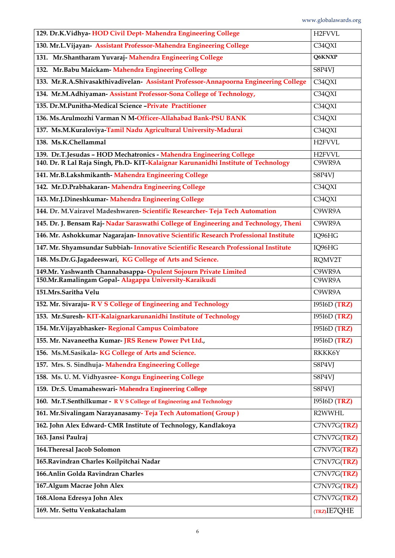| 129. Dr.K.Vidhya-HOD Civil Dept- Mahendra Engineering College                        | <b>H2FVVL</b>       |
|--------------------------------------------------------------------------------------|---------------------|
| 130. Mr.L.Vijayan- Assistant Professor-Mahendra Engineering College                  | C34QXI              |
| 131. Mr.Shantharam Yuvaraj- Mahendra Engineering College                             | Q6KNXP              |
| 132. Mr.Babu Maickam- Mahendra Engineering College                                   | S8P4VJ              |
| 133. Mr.R.A.Shivasakthivadivelan- Assistant Professor-Annapoorna Engineering College | C34QXI              |
| 134. Mr.M.Adhiyaman- Assistant Professor-Sona College of Technology,                 | C34QXI              |
| 135. Dr.M.Punitha-Medical Science -Private Practitioner                              | C34QXI              |
| 136. Ms. Arulmozhi Varman N M-Officer-Allahabad Bank-PSU BANK                        | C34QXI              |
| 137. Ms.M.Kuraloviya-Tamil Nadu Agricultural University-Madurai                      | C34QXI              |
| 138. Ms.K.Chellammal                                                                 | H <sub>2</sub> FVVL |
| 139. Dr.T.Jesudas - HOD Mechatronics - Mahendra Engineering College                  | <b>H2FVVL</b>       |
| 140. Dr. R Lal Raja Singh, Ph.D- KIT-Kalaignar Karunanidhi Institute of Technology   | C9WR9A              |
| 141. Mr.B.Lakshmikanth- Mahendra Engineering College                                 | S8P4VJ              |
| 142. Mr.D.Prabhakaran- Mahendra Engineering College                                  | C34QXI              |
| 143. Mr.J.Dineshkumar- Mahendra Engineering College                                  | C34QXI              |
| 144. Dr. M. Vairavel Madeshwaren- Scientific Researcher- Teja Tech Automation        | C9WR9A              |
| 145. Dr. J. Bensam Raj-Nadar Saraswathi College of Engineering and Technology, Theni | C9WR9A              |
| 146. Mr. Ashokkumar Nagarajan-Innovative Scientific Research Professional Institute  | IQ96HG              |
| 147. Mr. Shyamsundar Subbiah-Innovative Scientific Research Professional Institute   | IQ96HG              |
| 148. Ms.Dr.G.Jagadeeswari, KG College of Arts and Science.                           | RQMV2T              |
| 149.Mr. Yashwanth Channabasappa-Opulent Sojourn Private Limited                      | C9WR9A              |
| 150.Mr.Ramalingam Gopal- Alagappa University-Karaikudi                               | C9WR9A              |
| 151.Mrs.Saritha Velu                                                                 | C9WR9A              |
| 152. Mr. Sivaraju-R V S College of Engineering and Technology                        | 19516D (TRZ)        |
| 153. Mr.Suresh-KIT-Kalaignarkarunanidhi Institute of Technology                      | I95I6D(TRZ)         |
| 154. Mr. Vijayabhasker- Regional Campus Coimbatore                                   | 19516D (TRZ)        |
| 155. Mr. Navaneetha Kumar-JRS Renew Power Pvt Ltd.,                                  | 19516D (TRZ)        |
| 156. Ms.M.Sasikala-KG College of Arts and Science.                                   | RKKK6Y              |
| 157. Mrs. S. Sindhuja- Mahendra Engineering College                                  | S8P4VJ              |
| 158. Ms. U. M. Vidhyasree- Kongu Engineering College                                 | S8P4VJ              |
| 159. Dr.S. Umamaheswari- Mahendra Engineering College                                | S8P4VJ              |
| 160. Mr.T.Senthilkumar - R V S College of Engineering and Technology                 | I95I6D(TRZ)         |
| 161. Mr. Sivalingam Narayanasamy-Teja Tech Automation (Group)                        | R2WWHL              |
| 162. John Alex Edward- CMR Institute of Technology, Kandlakoya                       | C7NV7G(TRZ)         |
| 163. Jansi Paulraj                                                                   | C7NV7G(TRZ)         |
| 164. Theresal Jacob Solomon                                                          | C7NV7G( <b>TRZ)</b> |
| 165. Ravindran Charles Koilpitchai Nadar                                             | C7NV7G(TRZ)         |
| 166. Anlin Golda Ravindran Charles                                                   | C7NV7G(TRZ)         |
| 167. Algum Macrae John Alex                                                          | C7NV7G(TRZ)         |
| 168. Alona Edresya John Alex                                                         | C7NV7G(TRZ)         |
| 169. Mr. Settu Venkatachalam                                                         | (TRZ)IE7QHE         |
|                                                                                      |                     |